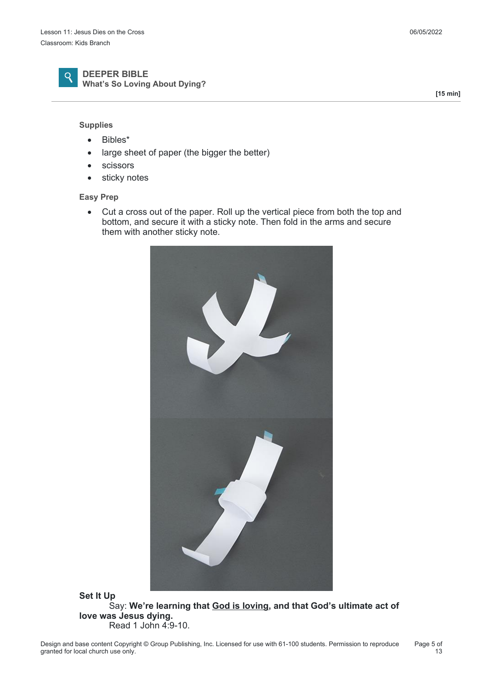

#### **DEEPER BIBLE What's So Loving About Dying?**

#### **Supplies**

- Bibles\*
- large sheet of paper (the bigger the better)
- **•** scissors
- sticky notes

#### **Easy Prep**

 Cut a cross out of the paper. Roll up the vertical piece from both the top and bottom, and secure it with a sticky note. Then fold in the arms and secure them with another sticky note.



**Set It Up** Say: **We're learning that God is loving, and that God's ultimate act of love was Jesus dying.** Read 1 John 4:9-10.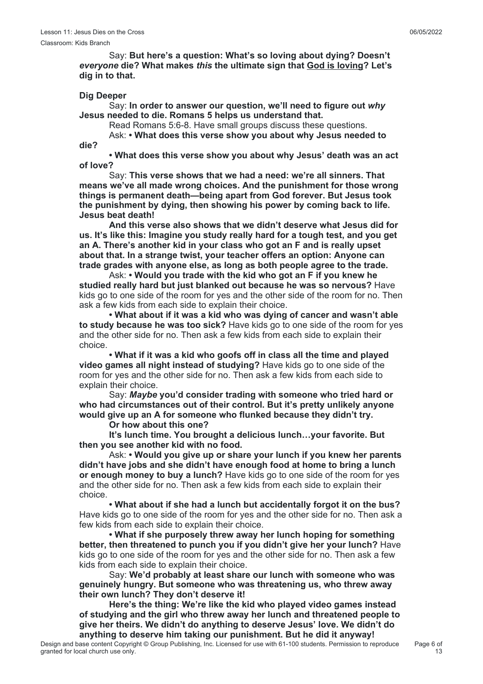Say: **But here's a question: What's so loving about dying? Doesn't** *everyone* **die? What makes** *this* **the ultimate sign that God is loving? Let's dig in to that.**

## **Dig Deeper**

**die?**

 Say: **In order to answer our question, we'll need to figure out** *why* **Jesus needed to die. Romans 5 helps us understand that.**

Read Romans 5:6-8. Have small groups discuss these questions.

Ask: **• What does this verse show you about why Jesus needed to**

 **• What does this verse show you about why Jesus' death was an act of love?**

 Say: **This verse shows that we had a need: we're all sinners. That means we've all made wrong choices. And the punishment for those wrong things is permanent death—being apart from God forever. But Jesus took the punishment by dying, then showing his power by coming back to life. Jesus beat death!**

 **And this verse also shows that we didn't deserve what Jesus did for us. It's like this: Imagine you study really hard for a tough test, and you get an A. There's another kid in your class who got an F and is really upset about that. In a strange twist, your teacher offers an option: Anyone can trade grades with anyone else, as long as both people agree to the trade.**

 Ask: **• Would you trade with the kid who got an F if you knew he studied really hard but just blanked out because he was so nervous?** Have kids go to one side of the room for yes and the other side of the room for no. Then ask a few kids from each side to explain their choice.

 **• What about if it was a kid who was dying of cancer and wasn't able to study because he was too sick?** Have kids go to one side of the room for yes and the other side for no. Then ask a few kids from each side to explain their choice.

 **• What if it was a kid who goofs off in class all the time and played video games all night instead of studying?** Have kids go to one side of the room for yes and the other side for no. Then ask a few kids from each side to explain their choice.

 Say: *Maybe* **you'd consider trading with someone who tried hard or who had circumstances out of their control. But it's pretty unlikely anyone would give up an A for someone who flunked because they didn't try.**

## **Or how about this one?**

 **It's lunch time. You brought a delicious lunch…your favorite. But then you see another kid with no food.**

 Ask: **• Would you give up or share your lunch if you knew her parents didn't have jobs and she didn't have enough food at home to bring a lunch or enough money to buy a lunch?** Have kids go to one side of the room for yes and the other side for no. Then ask a few kids from each side to explain their choice.

 **• What about if she had a lunch but accidentally forgot it on the bus?** Have kids go to one side of the room for yes and the other side for no. Then ask a few kids from each side to explain their choice.

 **• What if she purposely threw away her lunch hoping for something better, then threatened to punch you if you didn't give her your lunch?** Have kids go to one side of the room for yes and the other side for no. Then ask a few kids from each side to explain their choice.

 Say: **We'd probably at least share our lunch with someone who was genuinely hungry. But someone who was threatening us, who threw away their own lunch? They don't deserve it!**

 **Here's the thing: We're like the kid who played video games instead of studying and the girl who threw away her lunch and threatened people to give her theirs. We didn't do anything to deserve Jesus' love. We didn't do anything to deserve him taking our punishment. But he did it anyway!**